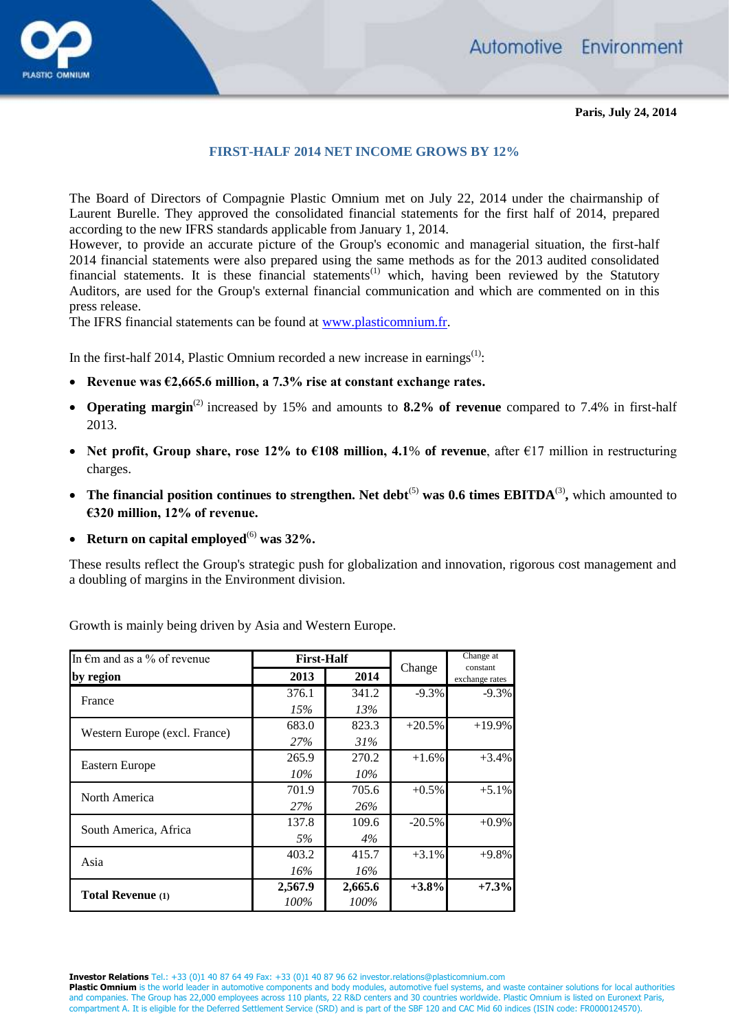



## **FIRST-HALF 2014 NET INCOME GROWS BY 12%**

The Board of Directors of Compagnie Plastic Omnium met on July 22, 2014 under the chairmanship of Laurent Burelle. They approved the consolidated financial statements for the first half of 2014, prepared according to the new IFRS standards applicable from January 1, 2014.

However, to provide an accurate picture of the Group's economic and managerial situation, the first-half 2014 financial statements were also prepared using the same methods as for the 2013 audited consolidated financial statements. It is these financial statements<sup> $(1)$ </sup> which, having been reviewed by the Statutory Auditors, are used for the Group's external financial communication and which are commented on in this press release.

The IFRS financial statements can be found at [www.plasticomnium.fr.](http://www.plasticomnium.fr/)

In the first-half 2014, Plastic Omnium recorded a new increase in earnings<sup>(1)</sup>:

- **Revenue was €2,665.6 million, a 7.3% rise at constant exchange rates.**
- **Operating margin**(2) increased by 15% and amounts to **8.2% of revenue** compared to 7.4% in first-half 2013.
- **Net profit, Group share, rose 12% to €108 million, 4.1**% **of revenue**, after €17 million in restructuring charges.
- The financial position continues to strengthen. Net debt<sup>(5)</sup> was 0.6 times EBITDA<sup>(3)</sup>, which amounted to **€320 million, 12% of revenue.**
- Return on capital employed $^{(6)}$  was  $32\%$ .

These results reflect the Group's strategic push for globalization and innovation, rigorous cost management and a doubling of margins in the Environment division.

| In $\epsilon$ m and as a % of revenue | <b>First-Half</b> |         |           | Change at<br>constant |
|---------------------------------------|-------------------|---------|-----------|-----------------------|
| by region                             | 2013              | 2014    | Change    | exchange rates        |
| France                                | 376.1             | 341.2   | $-9.3%$   | $-9.3\%$              |
|                                       | 15%               | 13%     |           |                       |
| Western Europe (excl. France)         | 683.0             | 823.3   | $+20.5%$  | $+19.9\%$             |
|                                       | 27%               | 31%     |           |                       |
| Eastern Europe                        | 265.9             | 270.2   | $+1.6%$   | $+3.4%$               |
|                                       | $10\%$            | 10%     |           |                       |
| North America                         | 701.9             | 705.6   | $+0.5\%$  | $+5.1%$               |
|                                       | 27%               | 26%     |           |                       |
| South America, Africa                 | 137.8             | 109.6   | $-20.5\%$ | $+0.9\%$              |
|                                       | 5%                | 4%      |           |                       |
| Asia                                  | 403.2             | 415.7   | $+3.1%$   | $+9.8%$               |
|                                       | 16%               | 16%     |           |                       |
| <b>Total Revenue</b> (1)              | 2,567.9           | 2,665.6 | $+3.8%$   | $+7.3%$               |
|                                       | 100%              | 100%    |           |                       |

Growth is mainly being driven by Asia and Western Europe.

**Investor Relations** Tel.: +33 (0)1 40 87 64 49 Fax: +33 (0)1 40 87 96 62 investor.relations@plasticomnium.com

Plastic Omnium is the world leader in automotive components and body modules, automotive fuel systems, and waste container solutions for local authorities and companies. The Group has 22,000 employees across 110 plants, 22 R&D centers and 30 countries worldwide. Plastic Omnium is listed on Euronext Paris, compartment A. It is eligible for the Deferred Settlement Service (SRD) and is part of the SBF 120 and CAC Mid 60 indices (ISIN code: FR0000124570).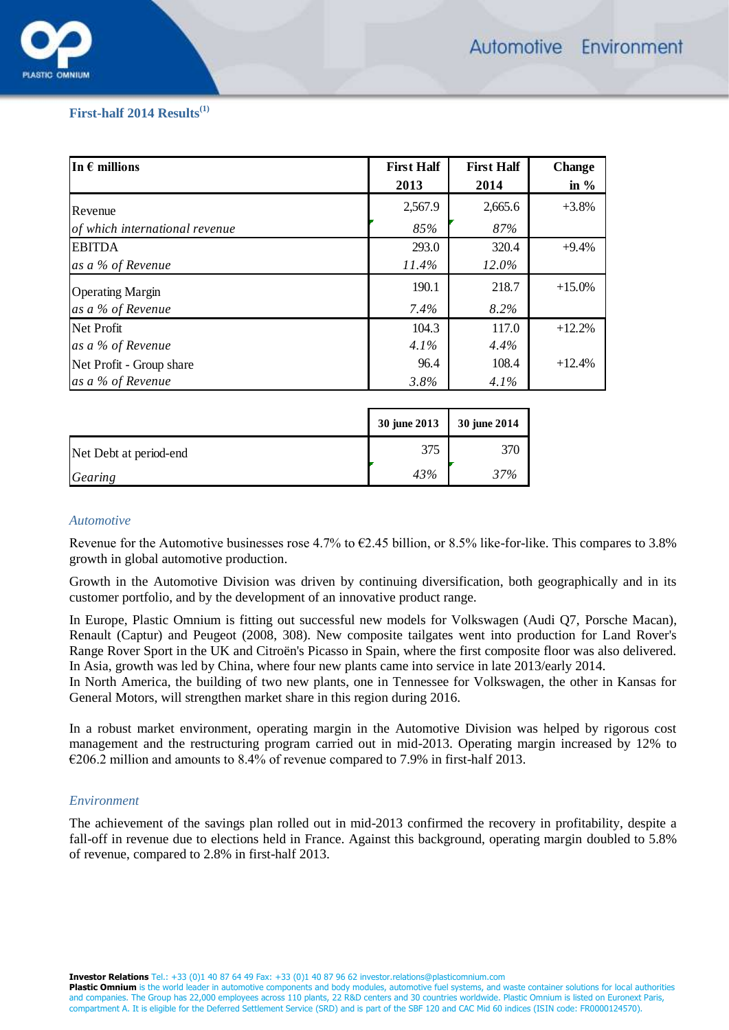

# **First-half 2014 Results(1)**

| In $\epsilon$ millions         | <b>First Half</b> | <b>First Half</b> | <b>Change</b> |
|--------------------------------|-------------------|-------------------|---------------|
|                                | 2013              | 2014              | in $%$        |
| Revenue                        | 2,567.9           | 2,665.6           | $+3.8%$       |
| of which international revenue | 85%               | 87%               |               |
| <b>EBITDA</b>                  | 293.0             | 320.4             | $+9.4%$       |
| as a % of Revenue              | 11.4%             | 12.0%             |               |
| <b>Operating Margin</b>        | 190.1             | 218.7             | $+15.0%$      |
| as a % of Revenue              | $7.4\%$           | 8.2%              |               |
| Net Profit                     | 104.3             | 117.0             | $+12.2%$      |
| as a % of Revenue              | $4.1\%$           | 4.4%              |               |
| Net Profit - Group share       | 96.4              | 108.4             | $+12.4%$      |
| as a % of Revenue              | 3.8%              | $4.1\%$           |               |

|                        | 30 june 2013 | 30 june 2014 |
|------------------------|--------------|--------------|
| Net Debt at period-end | 375          | 370          |
| Gearing                | 43%          | 37%          |

#### *Automotive*

Revenue for the Automotive businesses rose 4.7% to €2.45 billion, or 8.5% like-for-like. This compares to 3.8% growth in global automotive production.

Growth in the Automotive Division was driven by continuing diversification, both geographically and in its customer portfolio, and by the development of an innovative product range.

In Europe, Plastic Omnium is fitting out successful new models for Volkswagen (Audi Q7, Porsche Macan), Renault (Captur) and Peugeot (2008, 308). New composite tailgates went into production for Land Rover's Range Rover Sport in the UK and Citroën's Picasso in Spain, where the first composite floor was also delivered. In Asia, growth was led by China, where four new plants came into service in late 2013/early 2014.

In North America, the building of two new plants, one in Tennessee for Volkswagen, the other in Kansas for General Motors, will strengthen market share in this region during 2016.

In a robust market environment, operating margin in the Automotive Division was helped by rigorous cost management and the restructuring program carried out in mid-2013. Operating margin increased by 12% to €206.2 million and amounts to 8.4% of revenue compared to 7.9% in first-half 2013.

## *Environment*

The achievement of the savings plan rolled out in mid-2013 confirmed the recovery in profitability, despite a fall-off in revenue due to elections held in France. Against this background, operating margin doubled to 5.8% of revenue, compared to 2.8% in first-half 2013.

**Investor Relations** Tel.: +33 (0)1 40 87 64 49 Fax: +33 (0)1 40 87 96 62 investor.relations@plasticomnium.com

Plastic Omnium is the world leader in automotive components and body modules, automotive fuel systems, and waste container solutions for local authorities and companies. The Group has 22,000 employees across 110 plants, 22 R&D centers and 30 countries worldwide. Plastic Omnium is listed on Euronext Paris, compartment A. It is eligible for the Deferred Settlement Service (SRD) and is part of the SBF 120 and CAC Mid 60 indices (ISIN code: FR0000124570).